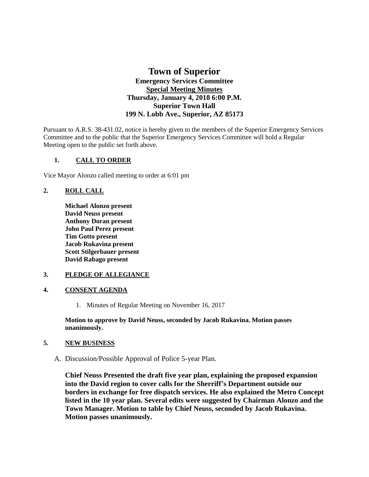# **Town of Superior Emergency Services Committee Special Meeting Minutes Thursday, January 4, 2018 6:00 P.M. Superior Town Hall 199 N. Lobb Ave., Superior, AZ 85173**

Pursuant to A.R.S. 38-431.02, notice is hereby given to the members of the Superior Emergency Services Committee and to the public that the Superior Emergency Services Committee will hold a Regular Meeting open to the public set forth above.

# **1. CALL TO ORDER**

Vice Mayor Alonzo called meeting to order at 6:01 pm

# **2. ROLL CALL**

**Michael Alonzo present David Neuss present Anthony Doran present John Paul Perez present Tim Gotto present Jacob Rukavina present Scott Stilgerbauer present David Rabago present**

### **3. PLEDGE OF ALLEGIANCE**

### **4. CONSENT AGENDA**

1. Minutes of Regular Meeting on November 16, 2017

**Motion to approve by David Neuss, seconded by Jacob Rukavina. Motion passes unanimously.** 

### **5. NEW BUSINESS**

A. Discussion/Possible Approval of Police 5-year Plan.

**Chief Neuss Presented the draft five year plan, explaining the proposed expansion into the David region to cover calls for the Sherriff's Department outside our borders in exchange for free dispatch services. He also explained the Metro Concept listed in the 10 year plan. Several edits were suggested by Chairman Alonzo and the Town Manager. Motion to table by Chief Neuss, seconded by Jacob Rukavina. Motion passes unanimously.**